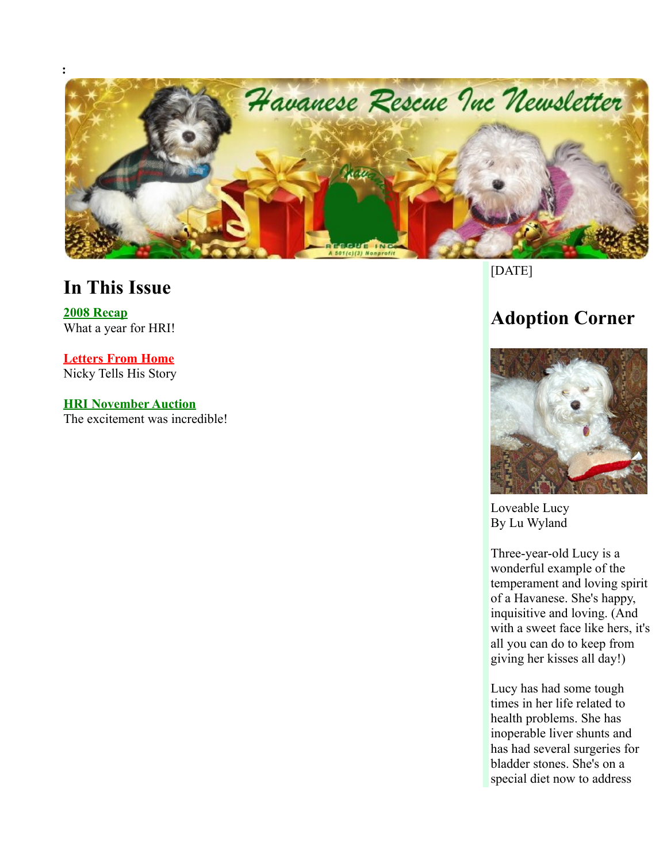

#### **In This Issue**

**[2008 Recap](http://www.havaneserescue.com/index.php?option=com_acajoom&act=mailing&task=view&listid=21&mailingid=24&Itemid=20020#2008%20Wrap%20Up)** What a year for HRI!

**[Letters From Home](http://www.havaneserescue.com/index.php?option=com_acajoom&act=mailing&task=view&listid=21&mailingid=24&Itemid=20020#Nicky)** Nicky Tells His Story

**[HRI November Auction](http://www.havaneserescue.com/index.php?option=com_acajoom&act=mailing&task=view&listid=21&mailingid=24&Itemid=20020#Aution)** The excitement was incredible!

#### [DATE]

# **Adoption Corner**



Loveable Lucy By Lu Wyland

Three-year-old Lucy is a wonderful example of the temperament and loving spirit of a Havanese. She's happy, inquisitive and loving. (And with a sweet face like hers, it's all you can do to keep from giving her kisses all day!)

Lucy has had some tough times in her life related to health problems. She has inoperable liver shunts and has had several surgeries for bladder stones. She's on a special diet now to address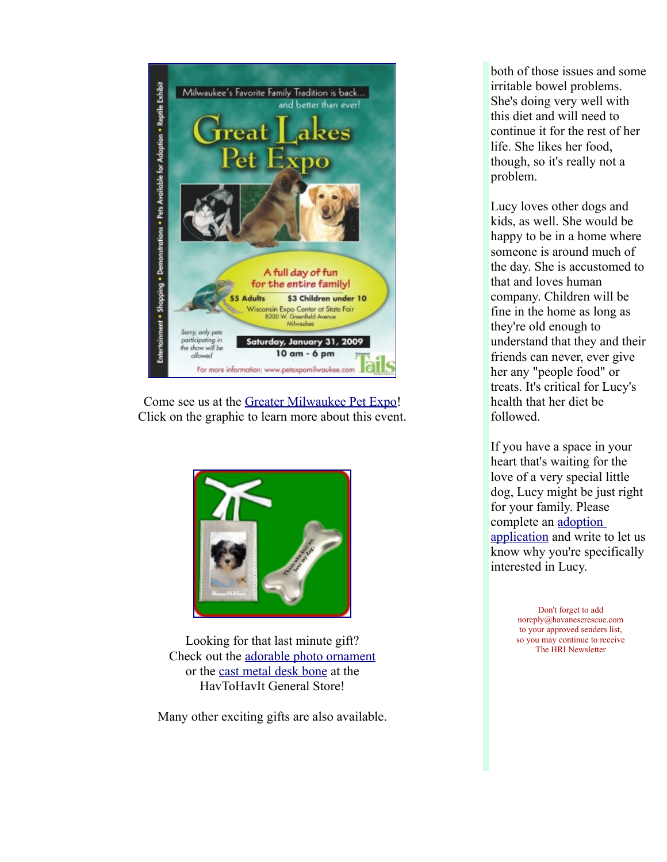

Come see us at the [Greater Milwaukee Pet Expo!](http://www.petexpomilwaukee.com/) Click on the graphic to learn more about this event.



Looking for that last minute gift? Check out the [adorable photo ornament](http://www.havtohavit.com/index.php?main_page=product_info&products_id=185) or the [cast metal desk bone](http://www.havtohavit.com/index.php?main_page=product_info&products_id=182) at the HavToHavIt General Store!

Many other exciting gifts are also available.

both of those issues and some irritable bowel problems. She's doing very well with this diet and will need to continue it for the rest of her life. She likes her food, though, so it's really not a problem.

Lucy loves other dogs and kids, as well. She would be happy to be in a home where someone is around much of the day. She is accustomed to that and loves human company. Children will be fine in the home as long as they're old enough to understand that they and their friends can never, ever give her any "people food" or treats. It's critical for Lucy's health that her diet be followed.

If you have a space in your heart that's waiting for the love of a very special little dog, Lucy might be just right for your family. Please complete an [adoption](http://www.havaneserescue.com/adoptapp.html) [application](http://www.havaneserescue.com/adoptapp.html) and write to let us know why you're specifically interested in Lucy.

> Don't forget to add noreply@havaneserescue.com to your approved senders list, so you may continue to receive The HRI Newsletter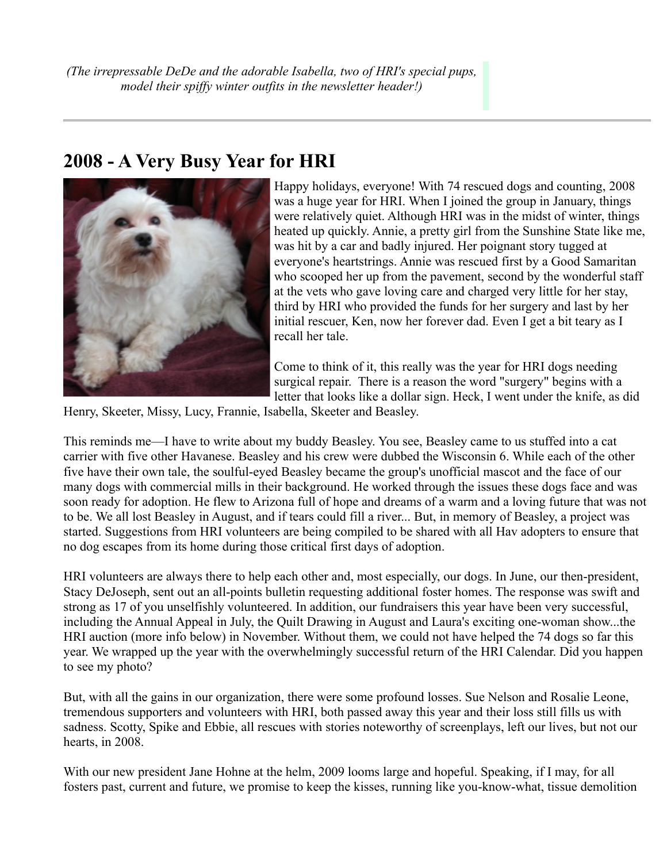#### **2008 - A Very Busy Year for HRI**



Happy holidays, everyone! With 74 rescued dogs and counting, 2008 was a huge year for HRI. When I joined the group in January, things were relatively quiet. Although HRI was in the midst of winter, things heated up quickly. Annie, a pretty girl from the Sunshine State like me, was hit by a car and badly injured. Her poignant story tugged at everyone's heartstrings. Annie was rescued first by a Good Samaritan who scooped her up from the pavement, second by the wonderful staff at the vets who gave loving care and charged very little for her stay, third by HRI who provided the funds for her surgery and last by her initial rescuer, Ken, now her forever dad. Even I get a bit teary as I recall her tale.

Come to think of it, this really was the year for HRI dogs needing surgical repair. There is a reason the word "surgery" begins with a letter that looks like a dollar sign. Heck, I went under the knife, as did

Henry, Skeeter, Missy, Lucy, Frannie, Isabella, Skeeter and Beasley.

This reminds me—I have to write about my buddy Beasley. You see, Beasley came to us stuffed into a cat carrier with five other Havanese. Beasley and his crew were dubbed the Wisconsin 6. While each of the other five have their own tale, the soulful-eyed Beasley became the group's unofficial mascot and the face of our many dogs with commercial mills in their background. He worked through the issues these dogs face and was soon ready for adoption. He flew to Arizona full of hope and dreams of a warm and a loving future that was not to be. We all lost Beasley in August, and if tears could fill a river... But, in memory of Beasley, a project was started. Suggestions from HRI volunteers are being compiled to be shared with all Hav adopters to ensure that no dog escapes from its home during those critical first days of adoption.

HRI volunteers are always there to help each other and, most especially, our dogs. In June, our then-president, Stacy DeJoseph, sent out an all-points bulletin requesting additional foster homes. The response was swift and strong as 17 of you unselfishly volunteered. In addition, our fundraisers this year have been very successful, including the Annual Appeal in July, the Quilt Drawing in August and Laura's exciting one-woman show...the HRI auction (more info below) in November. Without them, we could not have helped the 74 dogs so far this year. We wrapped up the year with the overwhelmingly successful return of the HRI Calendar. Did you happen to see my photo?

But, with all the gains in our organization, there were some profound losses. Sue Nelson and Rosalie Leone, tremendous supporters and volunteers with HRI, both passed away this year and their loss still fills us with sadness. Scotty, Spike and Ebbie, all rescues with stories noteworthy of screenplays, left our lives, but not our hearts, in 2008.

With our new president Jane Hohne at the helm, 2009 looms large and hopeful. Speaking, if I may, for all fosters past, current and future, we promise to keep the kisses, running like you-know-what, tissue demolition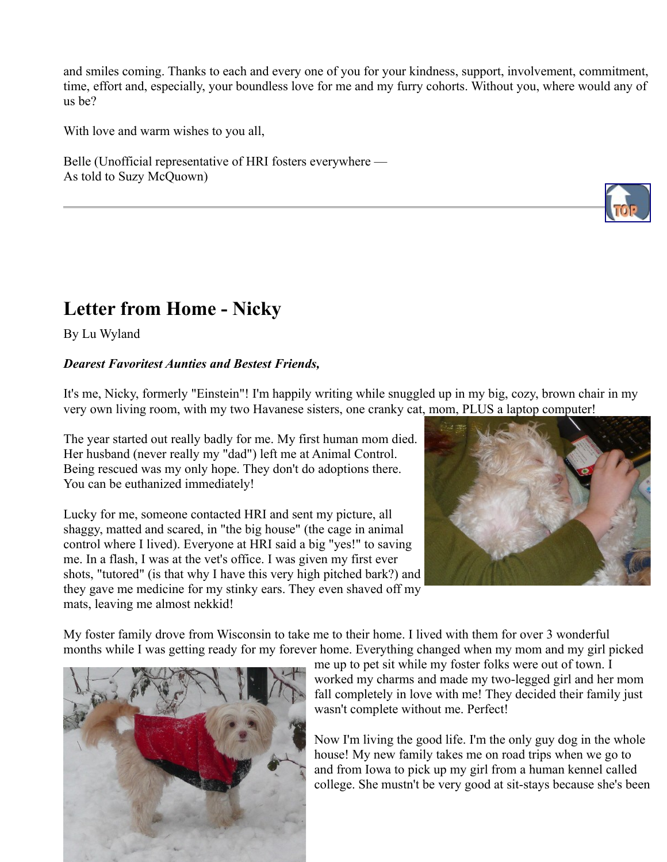and smiles coming. Thanks to each and every one of you for your kindness, support, involvement, commitment, time, effort and, especially, your boundless love for me and my furry cohorts. Without you, where would any of us be?

With love and warm wishes to you all,

Belle (Unofficial representative of HRI fosters everywhere — As told to Suzy McQuown)

## **Letter from Home - Nicky**

By Lu Wyland

#### *Dearest Favoritest Aunties and Bestest Friends,*

It's me, Nicky, formerly "Einstein"! I'm happily writing while snuggled up in my big, cozy, brown chair in my very own living room, with my two Havanese sisters, one cranky cat, mom, PLUS a laptop computer!

The year started out really badly for me. My first human mom died. Her husband (never really my "dad") left me at Animal Control. Being rescued was my only hope. They don't do adoptions there. You can be euthanized immediately!

Lucky for me, someone contacted HRI and sent my picture, all shaggy, matted and scared, in "the big house" (the cage in animal control where I lived). Everyone at HRI said a big "yes!" to saving me. In a flash, I was at the vet's office. I was given my first ever shots, "tutored" (is that why I have this very high pitched bark?) and they gave me medicine for my stinky ears. They even shaved off my mats, leaving me almost nekkid!



My foster family drove from Wisconsin to take me to their home. I lived with them for over 3 wonderful months while I was getting ready for my forever home. Everything changed when my mom and my girl picked



me up to pet sit while my foster folks were out of town. I worked my charms and made my two-legged girl and her mom fall completely in love with me! They decided their family just wasn't complete without me. Perfect!

Now I'm living the good life. I'm the only guy dog in the whole house! My new family takes me on road trips when we go to and from Iowa to pick up my girl from a human kennel called college. She mustn't be very good at sit-stays because she's been

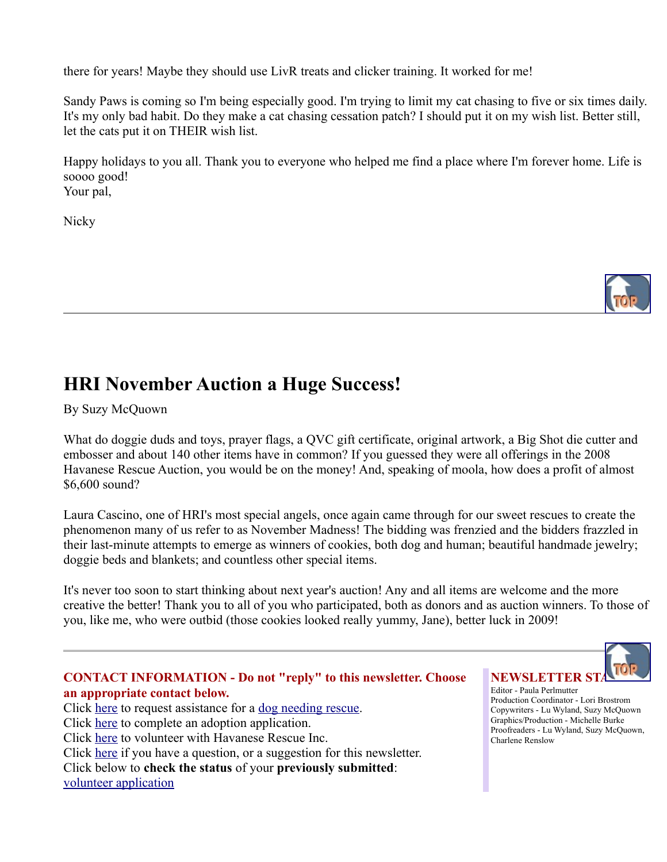there for years! Maybe they should use LivR treats and clicker training. It worked for me!

Sandy Paws is coming so I'm being especially good. I'm trying to limit my cat chasing to five or six times daily. It's my only bad habit. Do they make a cat chasing cessation patch? I should put it on my wish list. Better still, let the cats put it on THEIR wish list.

Happy holidays to you all. Thank you to everyone who helped me find a place where I'm forever home. Life is soooo good! Your pal,

**Nicky** 



## **HRI November Auction a Huge Success!**

By Suzy McQuown

What do doggie duds and toys, prayer flags, a QVC gift certificate, original artwork, a Big Shot die cutter and embosser and about 140 other items have in common? If you guessed they were all offerings in the 2008 Havanese Rescue Auction, you would be on the money! And, speaking of moola, how does a profit of almost \$6,600 sound?

Laura Cascino, one of HRI's most special angels, once again came through for our sweet rescues to create the phenomenon many of us refer to as November Madness! The bidding was frenzied and the bidders frazzled in their last-minute attempts to emerge as winners of cookies, both dog and human; beautiful handmade jewelry; doggie beds and blankets; and countless other special items.

It's never too soon to start thinking about next year's auction! Any and all items are welcome and the more creative the better! Thank you to all of you who participated, both as donors and as auction winners. To those of you, like me, who were outbid (those cookies looked really yummy, Jane), better luck in 2009!





Editor - Paula Perlmutter Production Coordinator - Lori Brostrom Copywriters - Lu Wyland, Suzy McQuown Graphics/Production - Michelle Burke Proofreaders - Lu Wyland, Suzy McQuown, Charlene Renslow